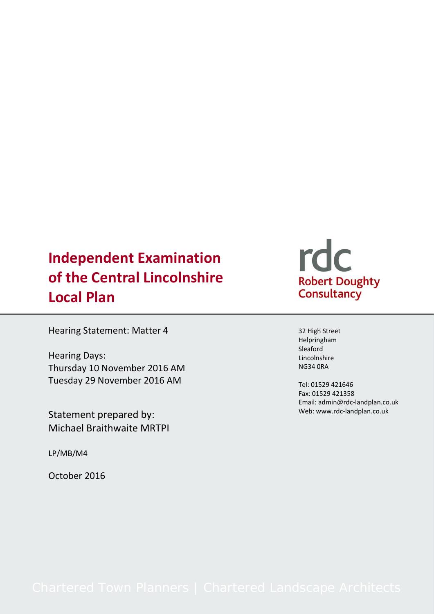# **Independent Examination of the Central Lincolnshire Local Plan**

Hearing Statement: Matter 4

Hearing Days: Thursday 10 November 2016 AM Tuesday 29 November 2016 AM

Statement prepared by: Michael Braithwaite MRTPI

LP/MB/M4

October 2016

# rdc Robert Doughty<br>Consultancy

32 High Street Helpringham Sleaford Lincolnshire NG34 0RA

Tel: 01529 421646 Fax: 01529 421358 Email: admin@rdc-landplan.co.uk Web: www.rdc-landplan.co.uk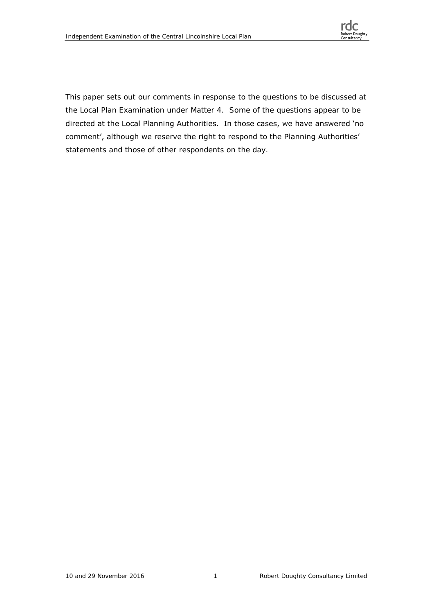

This paper sets out our comments in response to the questions to be discussed at the Local Plan Examination under Matter 4. Some of the questions appear to be directed at the Local Planning Authorities. In those cases, we have answered 'no comment', although we reserve the right to respond to the Planning Authorities' statements and those of other respondents on the day.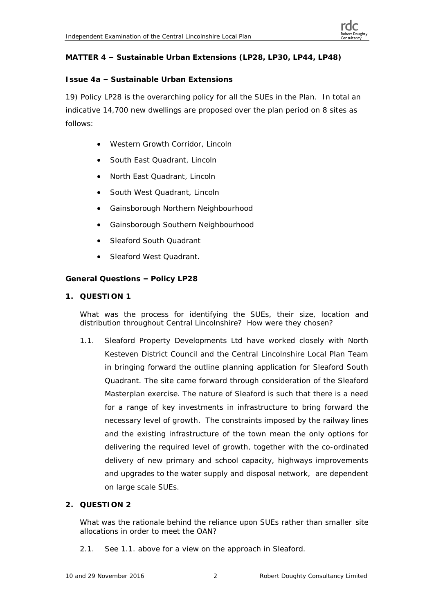# **MATTER 4 – Sustainable Urban Extensions (LP28, LP30, LP44, LP48)**

# **Issue 4a – Sustainable Urban Extensions**

19) Policy LP28 is the overarching policy for all the SUEs in the Plan. In total an indicative 14,700 new dwellings are proposed over the plan period on 8 sites as follows:

- Western Growth Corridor, Lincoln
- South East Quadrant, Lincoln
- North East Quadrant, Lincoln
- South West Quadrant, Lincoln
- Gainsborough Northern Neighbourhood
- Gainsborough Southern Neighbourhood
- Sleaford South Quadrant
- Sleaford West Quadrant.

**General Questions – Policy LP28**

**1. QUESTION 1**

What was the process for identifying the SUEs, their size, location and distribution throughout Central Lincolnshire? How were they chosen?

1.1. Sleaford Property Developments Ltd have worked closely with North Kesteven District Council and the Central Lincolnshire Local Plan Team in bringing forward the outline planning application for Sleaford South Quadrant. The site came forward through consideration of the Sleaford Masterplan exercise. The nature of Sleaford is such that there is a need for a range of key investments in infrastructure to bring forward the necessary level of growth. The constraints imposed by the railway lines and the existing infrastructure of the town mean the only options for delivering the required level of growth, together with the co-ordinated delivery of new primary and school capacity, highways improvements and upgrades to the water supply and disposal network, are dependent on large scale SUEs.

# **2. QUESTION 2**

What was the rationale behind the reliance upon SUEs rather than smaller site allocations in order to meet the OAN?

2.1. See 1.1. above for a view on the approach in Sleaford.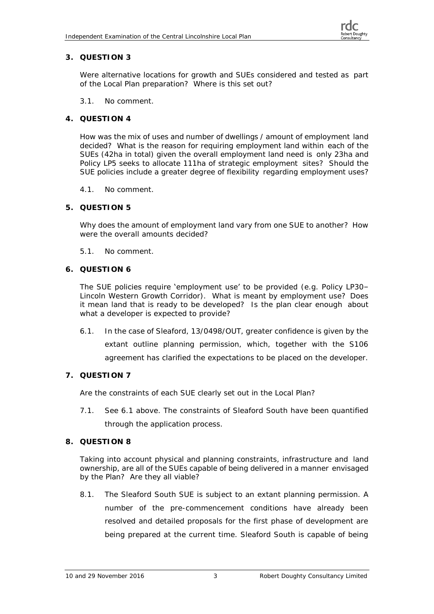Were alternative locations for growth and SUEs considered and tested as part of the Local Plan preparation? Where is this set out?

3.1. No comment.

#### **4. QUESTION 4**

How was the mix of uses and number of dwellings / amount of employment land decided? What is the reason for requiring employment land within each of the SUEs (42ha in total) given the overall employment land need is only 23ha and Policy LP5 seeks to allocate 111ha of strategic employment sites? Should the SUE policies include a greater degree of flexibility regarding employment uses?

- 4.1. No comment.
- **5. QUESTION 5**

Why does the amount of employment land vary from one SUE to another? How were the overall amounts decided?

- 5.1. No comment.
- **6. QUESTION 6**

The SUE policies require 'employment use' to be provided (e.g. Policy LP30– Lincoln Western Growth Corridor). What is meant by employment use? Does it mean land that is ready to be developed? Is the plan clear enough about what a developer is expected to provide?

- 6.1. In the case of Sleaford, 13/0498/OUT, greater confidence is given by the extant outline planning permission, which, together with the S106 agreement has clarified the expectations to be placed on the developer.
- **7. QUESTION 7**

Are the constraints of each SUE clearly set out in the Local Plan?

- 7.1. See 6.1 above. The constraints of Sleaford South have been quantified through the application process.
- **8. QUESTION 8**

Taking into account physical and planning constraints, infrastructure and land ownership, are all of the SUEs capable of being delivered in a manner envisaged by the Plan? Are they all viable?

8.1. The Sleaford South SUE is subject to an extant planning permission. A number of the pre-commencement conditions have already been resolved and detailed proposals for the first phase of development are being prepared at the current time. Sleaford South is capable of being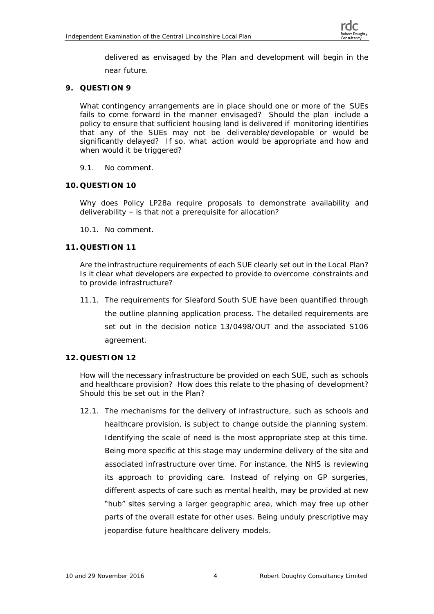delivered as envisaged by the Plan and development will begin in the near future.

**9. QUESTION 9**

What contingency arrangements are in place should one or more of the SUEs fails to come forward in the manner envisaged? Should the plan include a policy to ensure that sufficient housing land is delivered if monitoring identifies that any of the SUEs may not be deliverable/developable or would be significantly delayed? If so, what action would be appropriate and how and when would it be triggered?

- 9.1. No comment.
- **10. QUESTION 10**

Why does Policy LP28a require proposals to demonstrate availability and deliverability – is that not a prerequisite for allocation?

10.1. No comment.

# **11. QUESTION 11**

Are the infrastructure requirements of each SUE clearly set out in the Local Plan? Is it clear what developers are expected to provide to overcome constraints and to provide infrastructure?

11.1. The requirements for Sleaford South SUE have been quantified through the outline planning application process. The detailed requirements are set out in the decision notice 13/0498/OUT and the associated S106 agreement.

# **12. QUESTION 12**

How will the necessary infrastructure be provided on each SUE, such as schools and healthcare provision? How does this relate to the phasing of development? Should this be set out in the Plan?

12.1. The mechanisms for the delivery of infrastructure, such as schools and healthcare provision, is subject to change outside the planning system. Identifying the scale of need is the most appropriate step at this time. Being more specific at this stage may undermine delivery of the site and associated infrastructure over time. For instance, the NHS is reviewing its approach to providing care. Instead of relying on GP surgeries, different aspects of care such as mental health, may be provided at new "hub" sites serving a larger geographic area, which may free up other parts of the overall estate for other uses. Being unduly prescriptive may jeopardise future healthcare delivery models.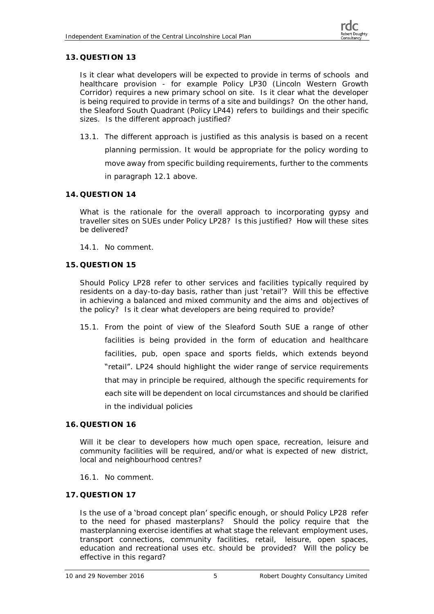Is it clear what developers will be expected to provide in terms of schools and healthcare provision - for example Policy LP30 (Lincoln Western Growth Corridor) requires a new primary school on site. Is it clear what the developer is being required to provide in terms of a site and buildings? On the other hand, the Sleaford South Quadrant (Policy LP44) refers to buildings and their specific sizes. Is the different approach justified?

13.1. The different approach is justified as this analysis is based on a recent

planning permission. It would be appropriate for the policy wording to move away from specific building requirements, further to the comments in paragraph 12.1 above.

# **14. QUESTION 14**

What is the rationale for the overall approach to incorporating gypsy and traveller sites on SUEs under Policy LP28? Is this justified? How will these sites be delivered?

- 14.1. No comment.
- **15. QUESTION 15**

Should Policy LP28 refer to other services and facilities typically required by residents on a day-to-day basis, rather than just 'retail'? Will this be effective in achieving a balanced and mixed community and the aims and objectives of the policy? Is it clear what developers are being required to provide?

15.1. From the point of view of the Sleaford South SUE a range of other facilities is being provided in the form of education and healthcare facilities, pub, open space and sports fields, which extends beyond "retail". LP24 should highlight the wider range of service requirements that may in principle be required, although the specific requirements for each site will be dependent on local circumstances and should be clarified in the individual policies

# **16. QUESTION 16**

Will it be clear to developers how much open space, recreation, leisure and community facilities will be required, and/or what is expected of new district, local and neighbourhood centres?

16.1. No comment.

# **17. QUESTION 17**

Is the use of a **'broad** concept **plan' specific** enough, or should Policy LP28 refer to the need for phased masterplans? Should the policy require that the masterplanning exercise identifies at what stage the relevant employment uses, transport connections, community facilities, retail, leisure, open spaces, education and recreational uses etc. should be provided? Will the policy be effective in this regard?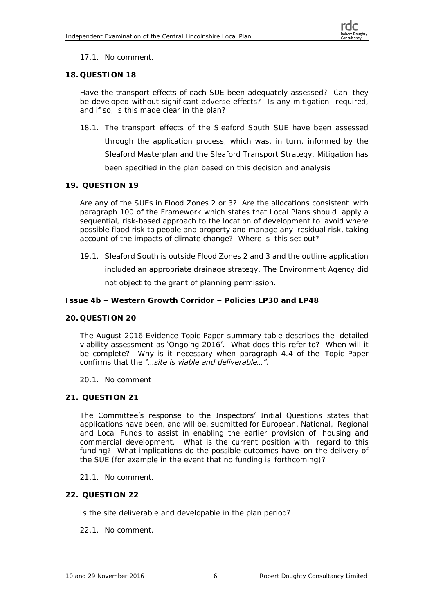# 17.1. No comment.

#### **18. QUESTION 18**

Have the transport effects of each SUE been adequately assessed? Can they be developed without significant adverse effects? Is any mitigation required, and if so, is this made clear in the plan?

18.1. The transport effects of the Sleaford South SUE have been assessed through the application process, which was, in turn, informed by the Sleaford Masterplan and the Sleaford Transport Strategy. Mitigation has been specified in the plan based on this decision and analysis

#### **19. QUESTION 19**

Are any of the SUEs in Flood Zones 2 or 3? Are the allocations consistent with paragraph 100 of the Framework which states that Local Plans should apply a sequential, risk-based approach to the location of development to avoid where possible flood risk to people and property and manage any residual risk, taking account of the impacts of climate change? Where is this set out?

19.1. Sleaford South is outside Flood Zones 2 and 3 and the outline application

included an appropriate drainage strategy. The Environment Agency did not object to the grant of planning permission.

**Issue 4b – Western Growth Corridor – Policies LP30 and LP48**

# **20. QUESTION 20**

The August 2016 Evidence Topic Paper summary table describes the detailed viability assessment as 'Ongoing 2016'. What does this refer to? When will it be complete? Why is it necessary when paragraph 4.4 of the Topic Paper confirms that the *"…site is viable and deliverable…"*.

20.1. No comment

# **21. QUESTION 21**

The Committee's response to the Inspectors' Initial Questions states that applications have been, and will be, submitted for European, National, Regional and Local Funds to assist in enabling the earlier provision of housing and commercial development. What is the current position with regard to this funding? What implications do the possible outcomes have on the delivery of the SUE (for example in the event that no funding is forthcoming)?

- 21.1. No comment.
- **22. QUESTION 22**

Is the site deliverable and developable in the plan period?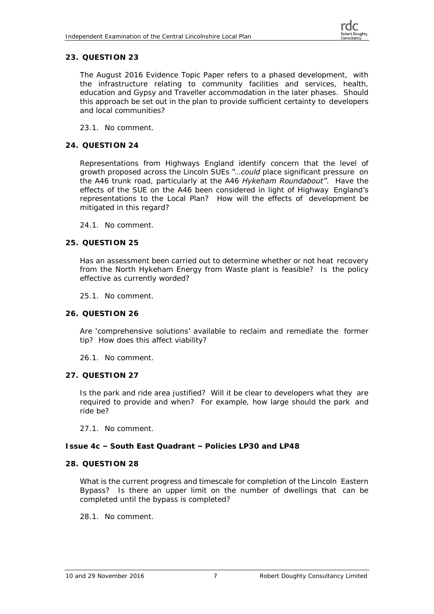The August 2016 Evidence Topic Paper refers to a phased development, with the infrastructure relating to community facilities and services, health, education and Gypsy and Traveller accommodation in the later phases. Should this approach be set out in the plan to provide sufficient certainty to developers and local communities?

23.1. No comment.

# **24. QUESTION 24**

Representations from Highways England identify concern that the level of growth proposed across the Lincoln SUEs *"…could place significant pressure on the A46 trunk road, particularly at the A46 Hykeham Roundabout"*. Have the effects of the SUE on the A46 been considered in light of Highway England's representations to the Local Plan? How will the effects of development be mitigated in this regard?

24.1. No comment.

# **25. QUESTION 25**

Has an assessment been carried out to determine whether or not heat recovery from the North Hykeham Energy from Waste plant is feasible? Is the policy effective as currently worded?

25.1. No comment.

**26. QUESTION 26**

Are 'comprehensive solutions' available to reclaim and remediate the former tip? How does this affect viability?

26.1. No comment.

**27. QUESTION 27**

Is the park and ride area justified? Will it be clear to developers what they are required to provide and when? For example, how large should the park and ride be?

27.1. No comment.

#### **Issue 4c – South East Quadrant – Policies LP30 and LP48**

#### **28. QUESTION 28**

What is the current progress and timescale for completion of the Lincoln Eastern Bypass? Is there an upper limit on the number of dwellings that can be completed until the bypass is completed?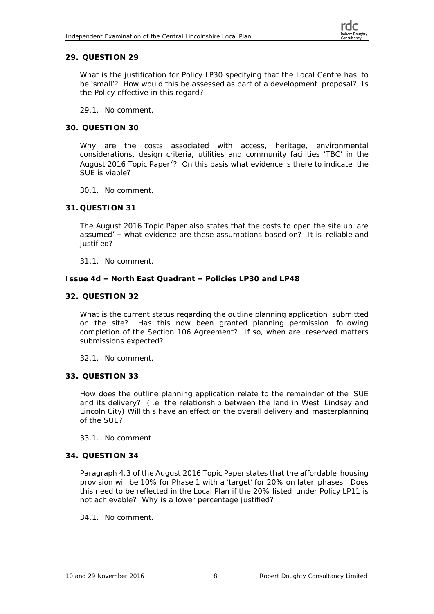What is the justification for Policy LP30 specifying that the Local Centre has to be 'small'? How would this be assessed as part of a development proposal? Is the Policy effective in this regard?

- 29.1. No comment.
- **30. QUESTION 30**

Why are the costs associated with access, heritage, environmental considerations, design criteria, utilities and community facilities 'TBC' in the August 2016 Topic Paper<sup>7</sup>? On this basis what evidence is there to indicate the SUE is viable?

- 30.1. No comment.
- **31. QUESTION 31**

The August 2016 Topic Paper also states that the costs to open the site up are assumed' - what evidence are these assumptions based on? It is reliable and iustified?

31.1. No comment.

**Issue 4d – North East Quadrant – Policies LP30 and LP48**

#### **32. QUESTION 32**

What is the current status regarding the outline planning application submitted on the site? Has this now been granted planning permission following completion of the Section 106 Agreement? If so, when are reserved matters submissions expected?

32.1. No comment.

**33. QUESTION 33**

How does the outline planning application relate to the remainder of the SUE and its delivery? (i.e. the relationship between the land in West Lindsey and Lincoln City) Will this have an effect on the overall delivery and masterplanning of the SUE?

#### 33.1. No comment

# **34. QUESTION 34**

Paragraph 4.3 of the August 2016 Topic Paper states that the affordable housing provision will be 10% for Phase 1 with a 'target' for 20% on later phases. Does this need to be reflected in the Local Plan if the 20% listed under Policy LP11 is not achievable? Why is a lower percentage justified?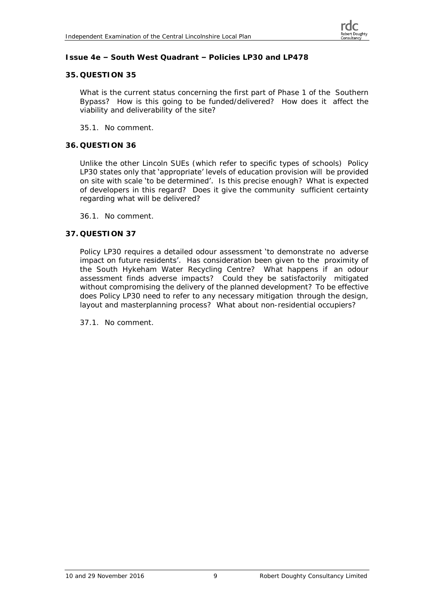#### **Issue 4e – South West Quadrant – Policies LP30 and LP478**

#### **35. QUESTION 35**

What is the current status concerning the first part of Phase 1 of the Southern Bypass? How is this going to be funded/delivered? How does it affect the viability and deliverability of the site?

35.1. No comment.

#### **36. QUESTION 36**

Unlike the other Lincoln SUEs (which refer to specific types of schools) Policy LP30 states only that 'appropriate' levels of education provision will be provided on site with scale 'to be determined'. Is this precise enough? What is expected of developers in this regard? Does it give the community sufficient certainty regarding what will be delivered?

36.1. No comment.

#### **37. QUESTION 37**

Policy LP30 requires a detailed odour assessment 'to demonstrate no adverse impact on future residents'. Has consideration been given to the proximity of the South Hykeham Water Recycling Centre? What happens if an odour assessment finds adverse impacts? Could they be satisfactorily mitigated without compromising the delivery of the planned development? To be effective does Policy LP30 need to refer to any necessary mitigation through the design, layout and masterplanning process? What about non-residential occupiers?